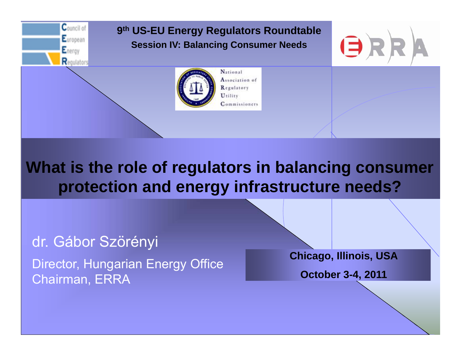

### **What is the role of regulators in balancing consumer protection and energy infrastructure needs?**

dr. Gábor Szörényi

Director, Hungarian Energy Office Chairman, ERRA

**Chicago, Illinois, USA**

**October 3-4, 2011**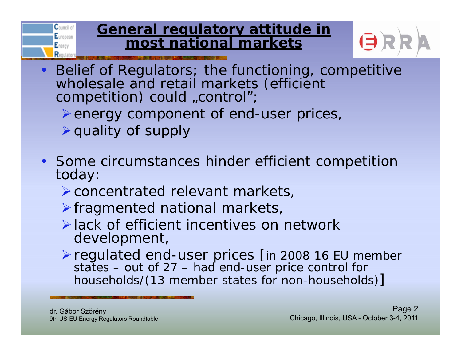#### **General regulatory attitude in most national markets**



- Belief of Regulators; the functioning, competitive wholesale and retail markets (efficient competition) could "control";
	- > energy component of end-user prices,
	- $\triangleright$  quality of supply

Council of European Energy Renub

- Some circumstances hinder efficient competition today:
	- concentrated relevant markets,
	- $\triangleright$  fragmented national markets,
	- lack of efficient incentives on network develo pment,
	- regulated end-user prices [in 2008 16 EU member states – out of 27 – had end-user price control for households/(13 member states for non-households) ]

dr. Gábor Szörényi 9th US-EU Energy Regulators Roundtable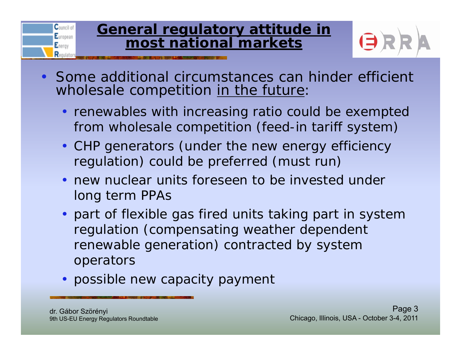#### **General regulatory attitude in most national markets**



- Some additional circumstances can hinder efficient wholesale competition in the future:
	- renewables with increasing ratio could be exempted from wholesale competition (feed-in tariff system)
	- CHP generators (under the new energy efficiency regulation) could be preferred (must run)
	- new nuclear units foreseen to be invested under lon g term PPAs
	- part of flexible gas fired units taking part in system regulation (compensating weather dependent renewable generation) contra cted by system operators
	- possible new capacity payment

Council of European Energy Required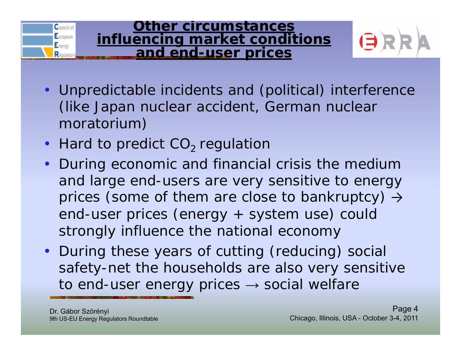

- Unpredictable incidents and (political) interference (like Japan nuclear accident, German nuclear moratorium)
- Hard to predict  $CO<sub>2</sub>$  regulation
- During economic and financial crisis the medium and large end-users are very sensitive to energy prices (some of them are close to bankruptcy)  $\rightarrow$ end-user prices (energy + system use) could strongly influence the national economy
- During these years of cutting (reducing) social safety-net the households are also very sensitive to end-user energy prices  $\rightarrow$  social welfare

Dr. Gábor Szörényi 9th US-EU Energy Regulators Roundtable

Council of European

Energy Requiat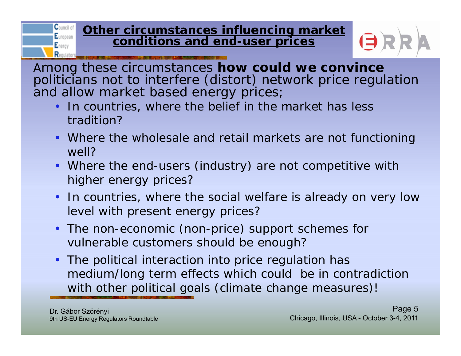#### **Other circumstances influencing market conditions and end end-user prices user**



Among these circumstances **how could we convince** politicians not to interfere (distort) network price regulation and allow market based energy prices;

- In countries, where the belief in the market has less tradition?
- Where the wholesale and retail markets are not functioning well?
- Where the end-users (industry) are not competitive with higher energy prices?
- In countries, where the social welfare is already on very low level with present energy prices?
- The non-economic (non-price) support schemes for vulnerable customers should be enough?
- The political interaction into price regulation has medium/long term effects which could be in contradiction with other political goals (climate change measures)!

**C**ouncil of European  $E<sub>nerv</sub>$ Requiat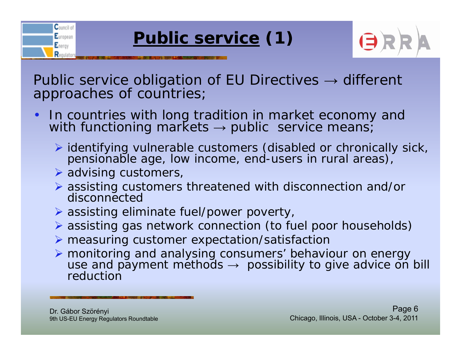



Public service obligation of EU Directives  $\rightarrow$  different approaches of countries;

- •In countries with long tradition in market economy and with functioning markets  $\rightarrow$  public service means;
	- identifying vulnerable customers (disabled or chronically sick, pensionable age, low income, end-users in rural areas),
	- advising customers,

Council of European Energy Requiato

- assisting customers threatened with disconnection and/or disconnected
- assisting eliminate fuel/power poverty,
- assisting gas network connection (to fuel poor households)
- $\triangleright$  measuring customer expectation/satisfaction
- > monitoring and analysing consumers' behaviour on energy use and payment methods  $\rightarrow$  possibility to give advice on bill reduction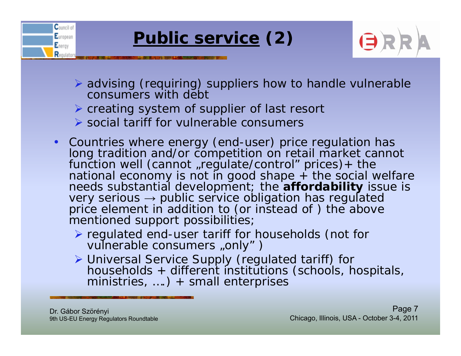



- advising (requiring) suppliers how to handle vulnerable consumers with debt
- creating system of supplier of last resort
- social tariff for vulnerable consumers
- Countries where energy (end-user) price regulation has long tradition and/or competition on retail market cannot<br>function well (cannot "regulate/control" prices)+ the national economy is not in good shape + the social welfare needs substantial development; the **affordability** issue is very serious → public service obligation has regulated price element in addition to (or instead of ) the above mentioned support possibilities;
	- regulated end-user tariff for households (not for vulnerable consumers "only")
	- > Universal Service Supply (regulated tariff) for households + different institutions (schools, hospitals, ministries, ….) + small enterprises

Dr. Gábor Szörényi 9th US-EU Energy Regulators Roundtable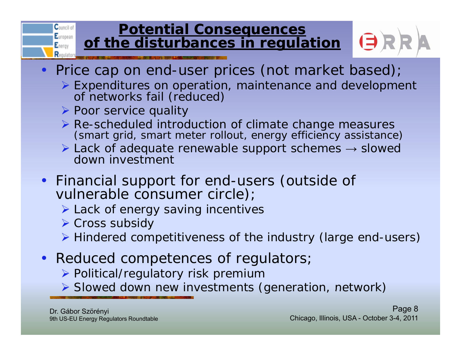#### **Potential Consequences of the disturbances in regulation**



- Price cap on end-user prices (not market based);
	- Expenditures on operation, maintenance and development of networks fail (reduced)
	- > Poor service quality

Council of European

Energy  $\mathbf{R}$ 

- $\triangleright$  Re-scheduled introduction of climate change measures (smart grid, smart meter rollout, energy efficiency assistance)
- $\triangleright$  Lack of adequate renewable support schemes  $\rightarrow$  slowed down investment
- Financial support for end-users (outside of vulnerable consumer circle);
	- **► Lack of energy saving incentives**
	- **▶ Cross subsidy**
	- Hindered competitiveness of the industry (large end-users)
- Reduced competences of regulators;
	- Political/regulatory risk premium
	- $\triangleright$  Slowed down new investments (generation, network)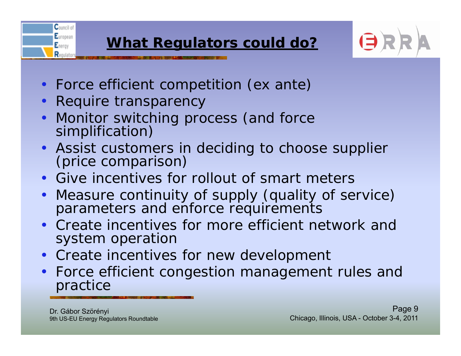

- Force efficient competition (ex ante)
- Require transparency

Council of European

Energy Requiat

- Monitor switching process (and force simplification)
- Assist customers in decidin Assist customers in deciding to choose supplier<br>(price comparison)
- Give incentives for rollout of smart meters
- Measure continuity of supply (quality of service) parameters and enforce requirements
- Create incentives for more efficient network and s ystem <sup>o</sup> peration
- Create incentives for new development
- Force efficient congestion management rules and practice